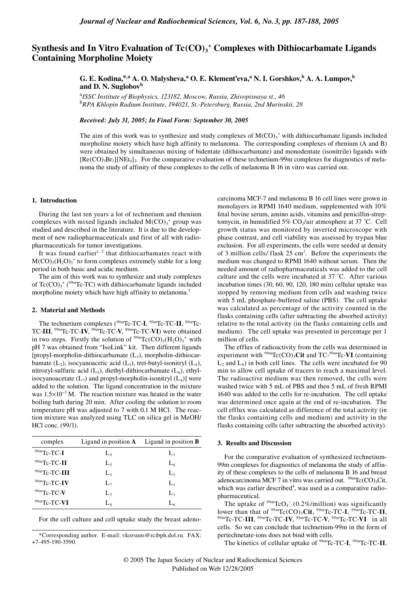# Synthesis and In Vitro Evaluation of Tc(CO)<sub>3</sub><sup>+</sup> Complexes with Dithiocarbamate Ligands **Containing Morpholine Moiety**

**G. E. Kodina,\*,a A. O. Malysheva,<sup>a</sup> O. E. Klement'eva,<sup>a</sup> N. I. Gorshkov,b A. A. Lumpov,b and D. N. Suglobov<sup>b</sup>**

<sup>a</sup>*ISSC Institute of Biophysics, 123182, Moscow, Russia, Zhivopisnaya st., 46* <sup>b</sup>*RPA Khlopin Radium Institute, 194021, St.-Petersburg, Russia, 2nd Murinskii, 28*

*Received: July 31, 2005; In Final Form: September 30, 2005*

The aim of this work was to synthesize and study complexes of  $M(CO)_3$ <sup>+</sup> with dithiocarbamate ligands included morpholine moiety which have high affinity to melanoma. The corresponding complexes of rhenium (A and B) were obtained by simultaneous mixing of bidentate (dithiocarbamate) and monodentate (isonitrile) ligands with  $[Re(CO)$ <sub>3</sub>Br<sub>3</sub>][NEt<sub>4</sub>]<sub>2</sub>. For the comparative evaluation of these technetium-99m complexes for diagnostics of melanoma the study of affinity of these complexes to the cells of melanoma B 16 in vitro was carried out.

## **1. Introduction**

During the last ten years a lot of technetium and rhenium complexes with mixed ligands included  $M(CO)_{3}^{+}$  group was studied and described in the literature. It is due to the development of new radiopharmaceuticals and first of all with radiopharmaceuticals for tumor investigations.

It was found earlier<sup>1, 2</sup> that dithiocarbamates react with  $M(CO)_{3}(H_{2}O)_{3}^{+}$  to form complexes extremely stable for a long period in both basic and acidic medium.

The aim of this work was to synthesize and study complexes of  $Tc(CO)_{3}^{3}$ <sup>+</sup> (<sup>99m</sup>Tc-TC) with dithiocarbamate ligands included morpholine moiety which have high affinity to melanoma.<sup>3</sup>

## **2. Material and Methods**

The technetium complexes (99mTc-TC-**I**, 99mTc-TC-**II**, 99mTc-TC-**III**, 99mTc-TC-**IV**, 99mTc-TC-**V**, 99mTc-TC-**VI**) were obtained in two steps. Firstly the solution of  $\rm{^{99m}Tc(CO)_3(H_2O)_3}^*$  with pH 7 was obtained from "IsoLink" kit. Then different ligands [propyl-morpholin-dithiocarbamate  $(L_1)$ , morpholin-dithiocarbamate  $(L_2)$ , isocyanoacetic acid  $(L_3)$ , tret-butyl-isonitryl  $(L_4)$ , nitrozyl-sulfuric acid  $(L_5)$ , diethyl-dithiocarbamate  $(L_6)$ , ethylisocyanoacetate  $(L_7)$  and propyl-morpholin-isonitryl  $(L_8)$ ] were added to the solution. The ligand concentration in the mixture was 1.5×10<sup>-3</sup> M. The reaction mixture was heated in the water boiling bath during 20 min. After cooling the solution to room temperature pH was adjusted to 7 with 0.1 M HCl. The reaction mixture was analyzed using TLC on silica gel in MeOH/ HCl conc. (99/1).

| complex        | Ligand in position $\bf{A}$ | Ligand in position $\bf{B}$ |
|----------------|-----------------------------|-----------------------------|
| $99m$ Tc-TC-I  | $L_4$                       | $L_1$                       |
| 99mTc-TC-II    | L,                          | $L_{6}$                     |
| 99mTc-TC-III   | L,                          | L,                          |
| 99mTc-TC-IV    | $L_7$                       | $L_1$                       |
| $99m$ Tc-TC-V  | L <sub>3</sub>              | $L_1$                       |
| $99m$ Tc-TC-VI | $L_{8}$                     | L6                          |

For the cell culture and cell uptake study the breast adeno-

\*Corresponding author. E-mail: vkorsuns@rcibph.dol.ru. FAX: +7-495-190-3590.

carcinoma MCF-7 and melanoma B 16 cell lines were grown in monolayers in RPMI 1640 medium, supplemented with 10% fetal bovine serum, amino acids, vitamins and penicillin-streptomycin, in humidified  $5\%$  CO<sub>2</sub>/air atmosphere at 37 °C. Cell growth status was monitored by inverted microscope with phase contrast, and cell viability was assessed by trypan blue exclusion. For all experiments, the cells were seeded at density of 3 million cells/ flask  $25 \text{ cm}^2$ . Before the experiments the medium was changed to RPMI 1640 without serum. Then the needed amount of radiopharmaceuticals was added to the cell culture and the cells were incubated at 37 ˚C. After various incubation times (30, 60, 90, 120, 180 min) cellular uptake was stopped by removing medium from cells and washing twice with 5 mL phosphate-buffered saline (PBS). The cell uptake was calculated as percentage of the activity counted in the flasks containing cells (after subtracting the absorbed activity) relative to the total activity (in the flasks containing cells and medium). The cell uptake was presented in percentage per 1 million of cells.

The efflux of radioactivity from the cells was determined in experiment with  $\rm{^{99m}Tc(CO)}$ <sub>3</sub>Cit and TC- $\rm{^{99m}Tc\text{-}VI}$  (containing  $L_2$  and  $L_8$ ) in both cell lines. The cells were incubated for 90 min to allow cell uptake of tracers to reach a maximal level. The radioactive medium was then removed, the cells were washed twice with 5 mL of PBS and then 5 mL of fresh RPMI 1640 was added to the cells for re-incubation. The cell uptake was determined once again at the end of re-incubation. The cell efflux was calculated as difference of the total activity (in the flasks containing cells and medium) and activity in the flasks containing cells (after subtracting the absorbed activity).

## **3. Results and Discussion**

For the comparative evaluation of synthesized technetium-99m complexes for diagnostics of melanoma the study of affinity of these complexes to the cells of melanoma B 16 and breast adenocarcinoma MCF 7 in vitro was carried out. <sup>99m</sup>Tc(CO)<sub>3</sub>Cit, which was earlier described<sup>4</sup>, was used as a comparative radiopharmaceutical.

The uptake of  $\frac{99 \text{ m}}{\text{TCO}_4}$  (0.2%/million) was significantly lower than that of  ${}^{99m}\text{TC}(\text{CO})_3\text{Cit}$ ,  ${}^{99m}\text{TC-TC-I}$ ,  ${}^{99m}\text{TC-TC-II}$ , 99mTc-TC-**III**, 99mTc-TC-**IV**, 99mTc-TC-**V**, 99mTc-TC-**VI** in all cells. So we can conclude that technetium-99m in the form of pertechnetate-ions does not bind with cells.

The kinetics of cellular uptake of 99mTc-TC-**I**, 99mTc-TC-**II**,